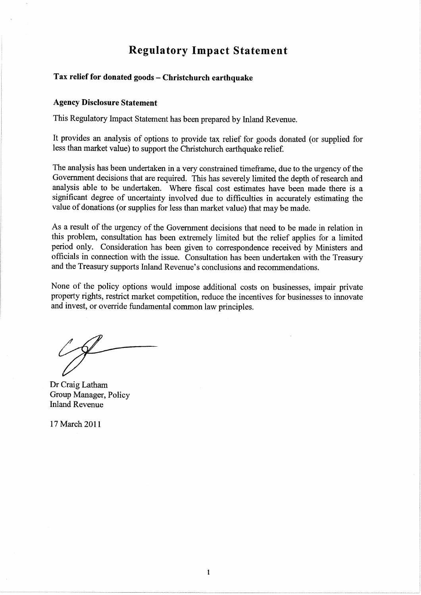# Regulatory Impact Statement

### Tax relief for donated goods - Christchurch earthquake

### Agency Disclosure Statement

This Regulatory Impact Statement has been prepared by Inland Revenue.

It provides an analysis of options to provide tax relief for goods donated (or supplied for less than market value) to support the christchurch earthquake relief.

The analysis has been undertaken in a very constrained timeframe, due to the urgency of the Government decisions that are required. This has severely limited the depth of research and analysis able to be undertaken. Where fiscal cost estimates have been made there is <sup>a</sup> significant degree of uncertainty involved due to difficulties in accurately estimating the value of donations (or supplies for less than market value) that may be made.

As a result of the urgency of the Govemment decisions that need to be made in relation in this problem, consultation has been extremely limited but the relief applies for a limited period only. Consideration has been given to correspondence received by Ministers and officials in connection with the issue. Consultation has been undertaken with the Treasury and the Treasury supports Inland Revenue's conclusions and recommendations.

None of the policy options would impose additional costs on businesses, impair private property rights, restrict market competition, reduce the incentives for businesses to innovate and invest, or override fundamental common law principles.

Dr Craig Latham Group Manager, Policy Inland Revenue

17 March 2011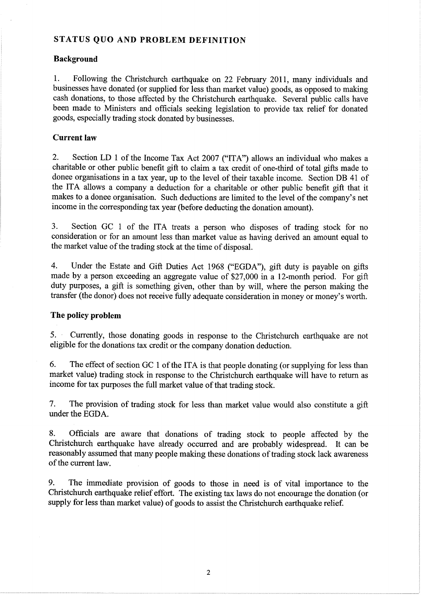### STATUS QUO AND PROBLEM DEFINITION

### Background

1. Following the Christchurch earthquake on 22 February 2011, many individuals and businesses have donated (or supplied for less than market value) goods, as opposed to making cash donations, to those affected by the Christchurch earthquake. Several public calls have been made to Ministers and officials seeking legislation to provide tax relief for donated goods, especially trading stock donated by businesses.

### Current law

2. Section LD I of the Income Tax Act 2007 ("ITA") allows an individual who makes <sup>a</sup> charitable or other public benefit gift to claim a tax credit of one-third of total gifts made to donee organisations in a tax year, up to the level of their taxable income. Section DB 41 of the ITA allows a company a deduction for a charitable or other public benefit gift that it makes to a donee organisation. Such deductions are limited to the level of the company's net income in the corresponding tax year (before deducting the donation amount).

3. Section GC I of the ITA treats a person who disposes of trading stock for no consideration or for an amount less than market value as having derived an amount equal to the market value of the trading stock at the time of disposal.

4. Under the Estate and Gift Duties Act 1968 ("EGDA"), gift duty is payable on gifts made by a person exceeding an aggregate value of \$27,000 in a l2-month period. For gift duty purposes, a gift is something given, other than by will, where the person making the transfer (the donor) does not receive fully adequate consideration in money or money's worth.

### The policy problem

5. Currently, those donating goods in response to the Christchurch earthquake are not eligible for the donations tax credit or the company donation deduction.

6. The effect of section GC 1 of the ITA is that people donating (or supplying for less than market value) trading stock in response to the Christchurch earthquake will have to return as income for tax purposes the full market value of that trading stock.

7. The provision of trading stock for less than market value would also constitute a gift under the EGDA.

8. Officials ate aware that donations of trading stock to people affected by the Christchurch earthquake have already occurred and are probably widespread. It can be reasonably assumed that many people making these donations of trading stock lack awareness of the current law.

9. The immediate provision of goods to those in need is of vital importance to the Christchurch earthquake relief effort. The existing tax laws do not encourage the donation (or supply for less than market value) of goods to assist the Christchurch earthquake relief.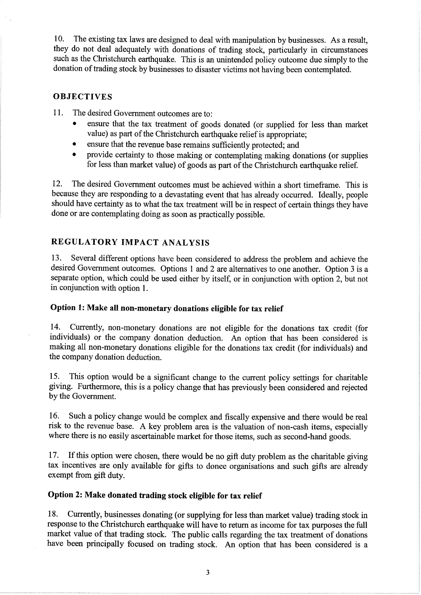10. The existing tax laws are designed to deal with manipulation by businesses. As a result, they do not deal adequately with donations of trading stock, particularly in circumstances such as the Christchurch earthquake. This is an unintended policy outcome due simply to the donation of trading stock by businesses to disaster victims not having been contemplated.

### **OBJECTIVES**

<sup>I</sup>1. The desired Government outcomes are ro:

- ensure that the tax treatment of goods donated (or supplied for less than market value) as part of the Christchurch earthquake relief is appropriate;
- . ensure that the revenue base remains sufficiently protected; and
- provide certainty to those making or contemplating making donations (or supplies for less than market value) of goods as part of the Christchurch earthquake relief.

12. The desired Government outcomes must be achieved within a short timeframe. This is because they are responding to a devastating event that has already occurred. Ideally, people should have certainty as to what the tax treatment will be in respect of certain things they have done or are contemplating doing as soon as practically possible.

## REGULATORY IMPACT ANALYSIS

13. Several different options have been considered to address the problem and achieve the desired Government outcomes. Options 1 and 2 are alternatives to one another. Option 3 is a separate option, which could be used either by itself, or in conjunction with option 2, but not in conjunction with option 1.

### Option 1: Make all non-monetary donations eligible for tax relief

14. Currently, non-monetary donations are not eligible for the donations tax credit (for individuals) or the company donation deduction. An option that has been considered is making all non-monetary donations eligible for the donations tax credit (for individuals) and the company donation deduction.

15. This option would be a significant change to the current policy settings for charitable giving. Furthermore, this is a policy change that has previously been considered and rejected by the Government.

16. Such a policy change would be complex and fiscally expensive and there would be real risk to the revenue base. A key problem area is the valuation of non-cash items, especially where there is no easily ascertainable market for those items, such as second-hand goods.

17. If this option were chosen, there would be no gift duty problem as the charitable giving tax incentives are only available for gifts to donee organisations and such gifts are already exempt from gift duty.

## Option 2: Make donated trading stock eligible for tax relief

18. Currently, businesses donating (or supplying for less than market value) trading stock in response to the Christchurch earthquake will have to return as income for tax purposes the full market value of that trading stock. The public calls regarding the tax treatment of donations have been principally focused on trading stock. An option that has been considered is a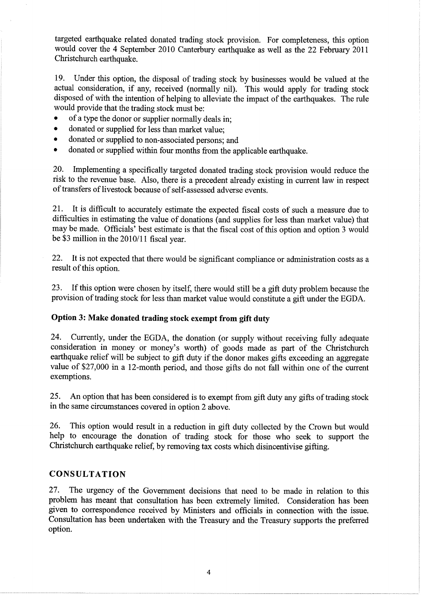targeted earthquake related donated trading stock provision. For completeness, this option would cover the 4 September 2010 Canterbury earthquake as well as the 22 February 20ll Christchurch earthquake.

19. Under this option, the disposal of trading stock by businesses would be valued at the actual consideration, if any, received (normally nil). This would apply for trading stock disposed of with the intention of helping to alleviate the impact of the earthquakes. The rule would provide that the trading stock must be:

- of a type the donor or supplier normally deals in;
- donated or supplied for less than market value:
- donated or supplied to non-associated persons; and
- donated or supplied within four months from the applicable earthquake.

20. Implementing a specifically targeted donated trading stock provision would reduce the risk to the revenue base. Also, there is a precedent already existing in current law in respect of transfers of livestock because of self-assessed adverse events.

2I. It is difficult to accurately estimate the expected fiscal costs of such a measure due to difficulties in estimating the value of donations (and supplies for less than market value) that may be made. Officials' best estimate is that the fiscal cost of this option and option 3 would be \$3 million in the  $2010/11$  fiscal year.

22. It is not expected that there would be significant compliance or administration costs as <sup>a</sup> result of this option.

23. If this option were chosen by itself, there would still be a gift duty problem because the provision of trading stock for less than market value would constitute a gift under the EGDA.

## Option 3: Make donated trading stock exempt from gift duty

24. Currently, under the EGDA, the donation (or supply without receiving fully adequate consideration in money or money's worth) of goods made as part of the Christchurch earthquake relief will be subject to gift duty if the donor makes gifts exceeding an aggregate value of \$27,000 in a l2-month period, and those gifts do not fall within one of the current exemptions.

25. An option that has been considered is to exempt from gift duty any gifts of trading stock in the same circumstances covered in option 2 above.

26. This option would result in a reduction in gift duty collected by the Crown but would help to encourage the donation of trading stock for those who seek to support the Christchurch earthquake relief, by removing tax costs which disincentivise gifting.

### CONSULTATION

27. The urgency of the Govemment decisions that need to be made in relation to this problem has meant that consultation has been extremely limited. Consideration has been given to correspondence received by Ministers and officials in connection with the issue. Consultation has been undertaken with the Treasury and the Treasury supports the prefened option.